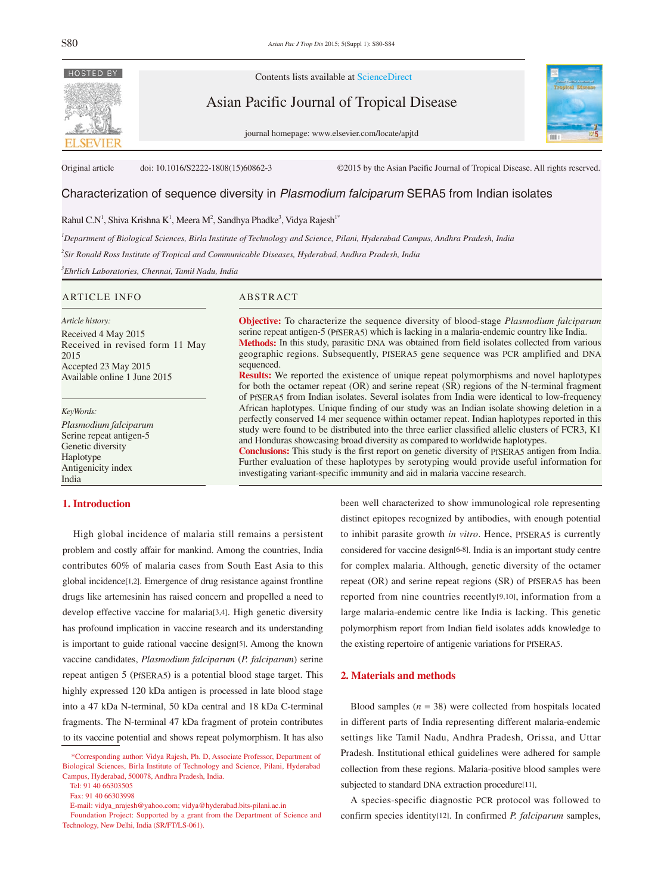

Contents lists available at ScienceDirect

Asian Pacific Journal of Tropical Disease

journal homepage: www.elsevier.com/locate/apjtd



Original article doi: 10.1016/S2222-1808(15)60862-3 ©2015 by the Asian Pacific Journal of Tropical Disease. All rights reserved.

# Characterization of sequence diversity in *Plasmodium falciparum* SERA5 from Indian isolates

Rahul C.N<sup>1</sup>, Shiva Krishna K<sup>1</sup>, Meera M<sup>2</sup>, Sandhya Phadke<sup>3</sup>, Vidya Rajesh<sup>1</sup>\*

*1 Department of Biological Sciences, Birla Institute of Technology and Science, Pilani, Hyderabad Campus, Andhra Pradesh, India*

*2 Sir Ronald Ross Institute of Tropical and Communicable Diseases, Hyderabad, Andhra Pradesh, India*

*3 Ehrlich Laboratories, Chennai, Tamil Nadu, India*

## ARTICLE INFO ABSTRACT

*Article history:* Received 4 May 2015 Received in revised form 11 May 2015 Accepted 23 May 2015 Available online 1 June 2015

*KeyWords:*

*Plasmodium falciparum* Serine repeat antigen-5 Genetic diversity Haplotype Antigenicity index India

## **1. Introduction**

 High global incidence of malaria still remains a persistent problem and costly affair for mankind. Among the countries, India contributes 60% of malaria cases from South East Asia to this global incidence[1,2]. Emergence of drug resistance against frontline drugs like artemesinin has raised concern and propelled a need to develop effective vaccine for malaria[3,4]. High genetic diversity has profound implication in vaccine research and its understanding is important to guide rational vaccine design[5]. Among the known vaccine candidates, *Plasmodium falciparum* (*P. falciparum*) serine repeat antigen 5 (PfSERA5) is a potential blood stage target. This highly expressed 120 kDa antigen is processed in late blood stage into a 47 kDa N-terminal, 50 kDa central and 18 kDa C-terminal fragments. The N-terminal 47 kDa fragment of protein contributes to its vaccine potential and shows repeat polymorphism. It has also

**Objective:** To characterize the sequence diversity of blood-stage *Plasmodium falciparum* serine repeat antigen-5 (PfSERA5) which is lacking in a malaria-endemic country like India. **Methods:** In this study, parasitic DNA was obtained from field isolates collected from various geographic regions. Subsequently, PfSERA5 gene sequence was PCR amplified and DNA sequenced.

**Results:** We reported the existence of unique repeat polymorphisms and novel haplotypes for both the octamer repeat (OR) and serine repeat (SR) regions of the N-terminal fragment of PfSERA5 from Indian isolates. Several isolates from India were identical to low-frequency African haplotypes. Unique finding of our study was an Indian isolate showing deletion in a perfectly conserved 14 mer sequence within octamer repeat. Indian haplotypes reported in this study were found to be distributed into the three earlier classified allelic clusters of FCR3, K1 and Honduras showcasing broad diversity as compared to worldwide haplotypes.

**Conclusions:** This study is the first report on genetic diversity of PfSERA5 antigen from India. Further evaluation of these haplotypes by serotyping would provide useful information for investigating variant-specific immunity and aid in malaria vaccine research.

> been well characterized to show immunological role representing distinct epitopes recognized by antibodies, with enough potential to inhibit parasite growth *in vitro*. Hence, PfSERA5 is currently considered for vaccine design[6-8]. India is an important study centre for complex malaria. Although, genetic diversity of the octamer repeat (OR) and serine repeat regions (SR) of PfSERA5 has been reported from nine countries recently[9,10], information from a large malaria-endemic centre like India is lacking. This genetic polymorphism report from Indian field isolates adds knowledge to the existing repertoire of antigenic variations for PfSERA5.

#### **2. Materials and methods**

Blood samples  $(n = 38)$  were collected from hospitals located in different parts of India representing different malaria-endemic settings like Tamil Nadu, Andhra Pradesh, Orissa, and Uttar Pradesh. Institutional ethical guidelines were adhered for sample collection from these regions. Malaria-positive blood samples were subjected to standard DNA extraction procedure[11].

 A species-specific diagnostic PCR protocol was followed to confirm species identity[12]. In confirmed *P. falciparum* samples,

 <sup>\*</sup>Corresponding author: Vidya Rajesh, Ph. D, Associate Professor, Department of Biological Sciences, Birla Institute of Technology and Science, Pilani, Hyderabad Campus, Hyderabad, 500078, Andhra Pradesh, India.

Tel: 91 40 66303505

Fax: 91 40 66303998

E-mail: vidya\_nrajesh@yahoo.com; vidya@hyderabad.bits-pilani.ac.in

Foundation Project: Supported by a grant from the Department of Science and Technology, New Delhi, India (SR/FT/LS-061).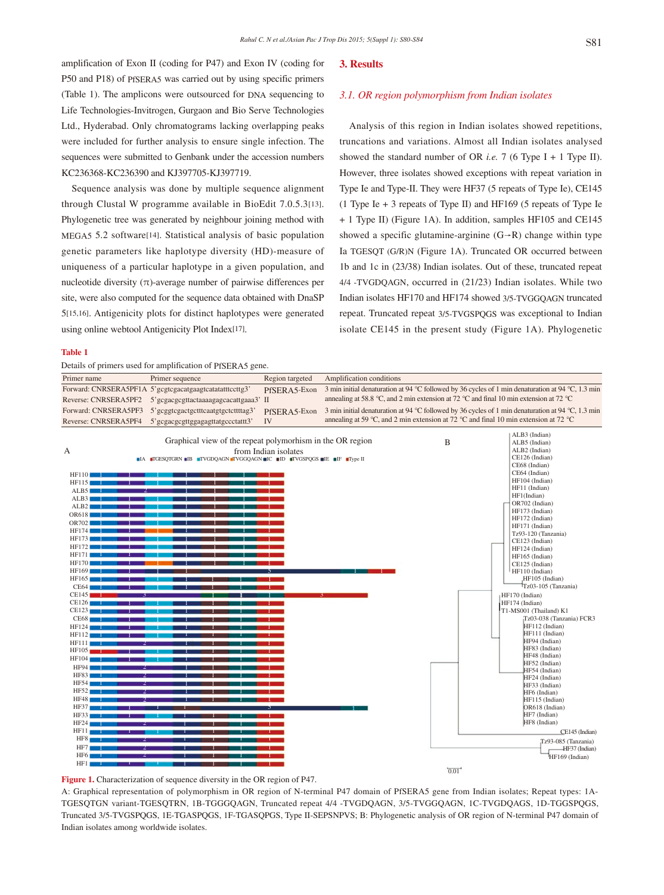amplification of Exon II (coding for P47) and Exon IV (coding for P50 and P18) of PfSERA5 was carried out by using specific primers (Table 1). The amplicons were outsourced for DNA sequencing to Life Technologies-Invitrogen, Gurgaon and Bio Serve Technologies Ltd., Hyderabad. Only chromatograms lacking overlapping peaks were included for further analysis to ensure single infection. The sequences were submitted to Genbank under the accession numbers KC236368-KC236390 and KJ397705-KJ397719.

 Sequence analysis was done by multiple sequence alignment through Clustal W programme available in BioEdit 7.0.5.3[13]. Phylogenetic tree was generated by neighbour joining method with MEGA5 5.2 software[14]. Statistical analysis of basic population genetic parameters like haplotype diversity (HD)-measure of uniqueness of a particular haplotype in a given population, and nucleotide diversity (π)-average number of pairwise differences per site, were also computed for the sequence data obtained with DnaSP 5[15,16]. Antigenicity plots for distinct haplotypes were generated using online webtool Antigenicity Plot Index[17].

#### **3. Results**

#### *3.1. OR region polymorphism from Indian isolates*

 Analysis of this region in Indian isolates showed repetitions, truncations and variations. Almost all Indian isolates analysed showed the standard number of OR *i.e.* 7 (6 Type I + 1 Type II). However, three isolates showed exceptions with repeat variation in Type Ie and Type-II. They were HF37 (5 repeats of Type Ie), CE145 (1 Type Ie + 3 repeats of Type II) and HF169 (5 repeats of Type Ie + 1 Type II) (Figure 1A). In addition, samples HF105 and CE145 showed a specific glutamine-arginine  $(G \rightarrow R)$  change within type Ia TGESQT (G/R)N (Figure 1A). Truncated OR occurred between 1b and 1c in (23/38) Indian isolates. Out of these, truncated repeat 4/4 -TVGDQAGN, occurred in (21/23) Indian isolates. While two Indian isolates HF170 and HF174 showed 3/5-TVGGQAGN truncated repeat. Truncated repeat 3/5-TVGSPQGS was exceptional to Indian isolate CE145 in the present study (Figure 1A). Phylogenetic

#### **Table 1**

Details of primers used for amplification of PfSERA5 gene.



**Figure 1.** Characterization of sequence diversity in the OR region of P47.

A: Graphical representation of polymorphism in OR region of N-terminal P47 domain of PfSERA5 gene from Indian isolates; Repeat types: 1A-TGESQTGN variant-TGESQTRN, 1B-TGGGQAGN, Truncated repeat 4/4 -TVGDQAGN, 3/5-TVGGQAGN, 1C-TVGDQAGS, 1D-TGGSPQGS, Truncated 3/5-TVGSPQGS, 1E-TGASPQGS, 1F-TGASQPGS, Type II-SEPSNPVS; B: Phylogenetic analysis of OR region of N-terminal P47 domain of Indian isolates among worldwide isolates.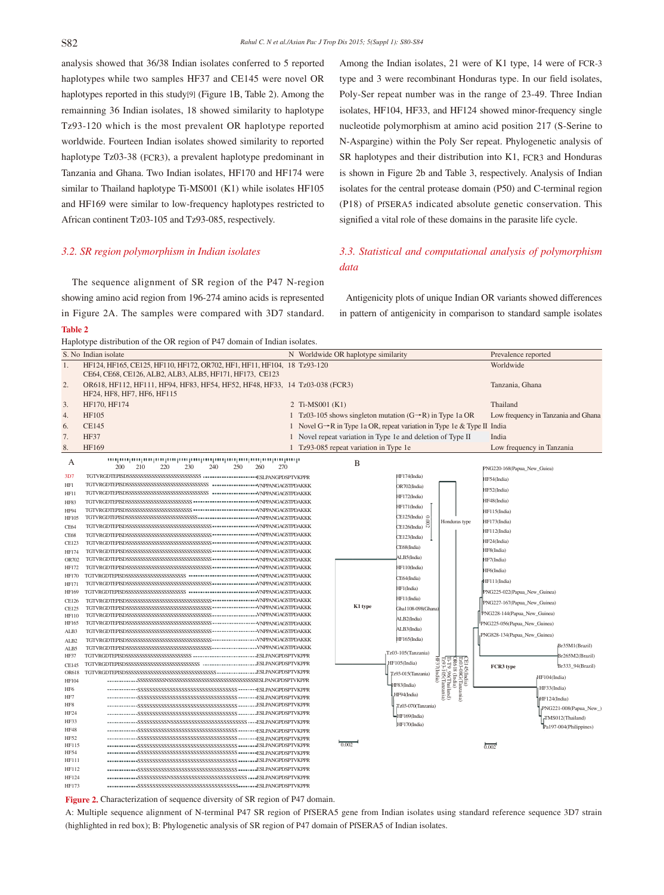analysis showed that 36/38 Indian isolates conferred to 5 reported haplotypes while two samples HF37 and CE145 were novel OR haplotypes reported in this study[9] (Figure 1B, Table 2). Among the remainning 36 Indian isolates, 18 showed similarity to haplotype Tz93-120 which is the most prevalent OR haplotype reported worldwide. Fourteen Indian isolates showed similarity to reported haplotype Tz03-38 (FCR3), a prevalent haplotype predominant in Tanzania and Ghana. Two Indian isolates, HF170 and HF174 were similar to Thailand haplotype Ti-MS001 (K1) while isolates HF105 and HF169 were similar to low-frequency haplotypes restricted to African continent Tz03-105 and Tz93-085, respectively.

#### *3.2. SR region polymorphism in Indian isolates*

 The sequence alignment of SR region of the P47 N-region showing amino acid region from 196-274 amino acids is represented in Figure 2A. The samples were compared with 3D7 standard. **Table 2**

Haplotype distribution of the OR region of P47 domain of Indian isolates.

Among the Indian isolates, 21 were of K1 type, 14 were of FCR-3 type and 3 were recombinant Honduras type. In our field isolates, Poly-Ser repeat number was in the range of 23-49. Three Indian isolates, HF104, HF33, and HF124 showed minor-frequency single nucleotide polymorphism at amino acid position 217 (S-Serine to N-Aspargine) within the Poly Ser repeat. Phylogenetic analysis of SR haplotypes and their distribution into K1, FCR3 and Honduras is shown in Figure 2b and Table 3, respectively. Analysis of Indian isolates for the central protease domain (P50) and C-terminal region (P18) of PfSERA5 indicated absolute genetic conservation. This signified a vital role of these domains in the parasite life cycle.

# *3.3. Statistical and computational analysis of polymorphism data*

 Antigenicity plots of unique Indian OR variants showed differences in pattern of antigenicity in comparison to standard sample isolates

|                 | S. No Indian isolate                                                                                                                |                   | N Worldwide OR haplotype similarity                                                  |                               |         |                                                                                                                  | Prevalence reported          |                                     |
|-----------------|-------------------------------------------------------------------------------------------------------------------------------------|-------------------|--------------------------------------------------------------------------------------|-------------------------------|---------|------------------------------------------------------------------------------------------------------------------|------------------------------|-------------------------------------|
| 1.              | HF124, HF165, CE125, HF110, HF172, OR702, HF1, HF11, HF104, 18 Tz93-120<br>CE64, CE68, CE126, ALB2, ALB3, ALB5, HF171, HF173, CE123 |                   |                                                                                      |                               |         |                                                                                                                  | Worldwide                    |                                     |
| 2.              | OR618, HF112, HF111, HF94, HF83, HF54, HF52, HF48, HF33, 14 Tz03-038 (FCR3)<br>HF24, HF8, HF7, HF6, HF115                           |                   |                                                                                      |                               |         |                                                                                                                  | Tanzania, Ghana              |                                     |
| 3.              | HF170, HF174                                                                                                                        | 2 Ti-MS001 $(K1)$ |                                                                                      |                               |         |                                                                                                                  | Thailand                     |                                     |
| 4.              | HF105                                                                                                                               |                   | 1 Tz03-105 shows singleton mutation $(G \rightarrow R)$ in Type 1a OR                |                               |         |                                                                                                                  |                              | Low frequency in Tanzania and Ghana |
| 6.              | <b>CE145</b>                                                                                                                        |                   | 1 Novel $G \rightarrow R$ in Type 1a OR, repeat variation in Type 1e & Type II India |                               |         |                                                                                                                  |                              |                                     |
|                 |                                                                                                                                     |                   |                                                                                      |                               |         |                                                                                                                  |                              |                                     |
| 7.              | <b>HF37</b>                                                                                                                         |                   | 1 Novel repeat variation in Type 1e and deletion of Type II                          |                               |         |                                                                                                                  | India                        |                                     |
| 8.              | HF169                                                                                                                               |                   | 1 Tz93-085 repeat variation in Type 1e                                               |                               |         |                                                                                                                  | Low frequency in Tanzania    |                                     |
| А               | 220<br>230<br>240<br>250<br>260<br>270<br>200<br>210                                                                                |                   | B                                                                                    |                               |         |                                                                                                                  | PNG220-168(Papua New Guiea)  |                                     |
| 3D7             |                                                                                                                                     |                   |                                                                                      | HF174(India)                  |         |                                                                                                                  | HF54(India)                  |                                     |
| HF1             |                                                                                                                                     |                   |                                                                                      | OR702(India)                  |         |                                                                                                                  | HF52(India)                  |                                     |
| HF11            |                                                                                                                                     |                   |                                                                                      | HF172(India)                  |         |                                                                                                                  |                              |                                     |
| <b>HF83</b>     |                                                                                                                                     |                   |                                                                                      | HF171(India)                  |         |                                                                                                                  | HF48(India)                  |                                     |
| HF94<br>HF105   |                                                                                                                                     |                   |                                                                                      | CE125(India)<br>g             |         |                                                                                                                  | HF115(India)                 |                                     |
| <b>CE64</b>     |                                                                                                                                     |                   |                                                                                      | $\frac{8}{2}$<br>CE126(India) |         | Honduras type                                                                                                    | HF173(India)                 |                                     |
| CE68            |                                                                                                                                     |                   |                                                                                      |                               |         |                                                                                                                  | HF112(India)                 |                                     |
| <b>CE123</b>    |                                                                                                                                     |                   |                                                                                      | CE123(India)                  |         |                                                                                                                  | HF24(India)                  |                                     |
| HF174           |                                                                                                                                     |                   |                                                                                      | CE68(India)                   |         |                                                                                                                  | HF8(India)                   |                                     |
| OR702           |                                                                                                                                     |                   |                                                                                      | ALB5(India)                   |         |                                                                                                                  | HF7(India)                   |                                     |
| HF172           |                                                                                                                                     |                   |                                                                                      | HF110(India)                  |         |                                                                                                                  | HF6(India)                   |                                     |
| HF170           |                                                                                                                                     |                   |                                                                                      | CE64(India)                   |         |                                                                                                                  | HF111(India)                 |                                     |
| HF171           |                                                                                                                                     |                   |                                                                                      | HF1(India)                    |         |                                                                                                                  |                              |                                     |
| HF169           |                                                                                                                                     |                   |                                                                                      | HF11(India)                   |         |                                                                                                                  | PNG225-022(Papua_New_Guinea) |                                     |
| <b>CE126</b>    |                                                                                                                                     |                   | K1 type                                                                              |                               |         |                                                                                                                  | PNG227-167(Papua_New_Guinea) |                                     |
| CE125<br>HF110  |                                                                                                                                     |                   |                                                                                      | Gha1108-098(Ghana             |         |                                                                                                                  | PNG228-144(Papua_New_Guinea) |                                     |
| HF165           |                                                                                                                                     |                   |                                                                                      | ALB2(India)                   |         |                                                                                                                  | PNG225-056(Papua_New_Guinea) |                                     |
| ALB3            |                                                                                                                                     |                   |                                                                                      | ALB3(India)                   |         |                                                                                                                  |                              |                                     |
| ALB2            |                                                                                                                                     |                   |                                                                                      | HF165(India)                  |         |                                                                                                                  | PNG828-134(Papua_New_Guinea) |                                     |
| ALB5            |                                                                                                                                     |                   |                                                                                      |                               |         |                                                                                                                  |                              | Br35M1(Brazil)                      |
| HF37            |                                                                                                                                     |                   |                                                                                      | Tz03-105(Tanzania)            |         |                                                                                                                  |                              | Br265M2(Brazil)                     |
| CE145           |                                                                                                                                     |                   |                                                                                      | HF105(India)                  | HE37    | <b>CE 14:6India)</b><br>T203-08G(Tanzania)<br><b>OR618 (India)</b><br>T1:293-105(Tanzania)<br>T293-105(Tanzania) | FCR3 type                    | Br333 94(Brazil)                    |
| <b>OR618</b>    |                                                                                                                                     |                   |                                                                                      | Tz93-015(Tanzania)            | [India] |                                                                                                                  |                              | HF104(India)                        |
| HF104           |                                                                                                                                     |                   |                                                                                      | HF83(India)                   |         |                                                                                                                  |                              |                                     |
| HF <sub>6</sub> |                                                                                                                                     |                   |                                                                                      | HF94(India)                   |         |                                                                                                                  |                              | HF33(India)                         |
| HF7             |                                                                                                                                     |                   |                                                                                      |                               |         |                                                                                                                  |                              | HF124(India)                        |
| HF8<br>HF24     |                                                                                                                                     |                   |                                                                                      | Tz03-070(Tanzania)            |         |                                                                                                                  |                              | PNG221-008(Papua_New_)              |
| HF33            |                                                                                                                                     |                   |                                                                                      | HF169(India)                  |         |                                                                                                                  |                              | TMS012(Thailand)                    |
| HF48            |                                                                                                                                     |                   |                                                                                      | HF170(India)                  |         |                                                                                                                  |                              | Pa197-004(Philippines)              |
| HF52            |                                                                                                                                     |                   |                                                                                      |                               |         |                                                                                                                  |                              |                                     |
| HF115           |                                                                                                                                     |                   | 0.002                                                                                |                               |         |                                                                                                                  | 0.002                        |                                     |
| HF54            |                                                                                                                                     |                   |                                                                                      |                               |         |                                                                                                                  |                              |                                     |
| HF111           |                                                                                                                                     |                   |                                                                                      |                               |         |                                                                                                                  |                              |                                     |
| HF112           |                                                                                                                                     |                   |                                                                                      |                               |         |                                                                                                                  |                              |                                     |
| HF124           |                                                                                                                                     |                   |                                                                                      |                               |         |                                                                                                                  |                              |                                     |
| HF173           |                                                                                                                                     |                   |                                                                                      |                               |         |                                                                                                                  |                              |                                     |

**Figure 2.** Characterization of sequence diversity of SR region of P47 domain.

A: Multiple sequence alignment of N-terminal P47 SR region of PfSERA5 gene from Indian isolates using standard reference sequence 3D7 strain (highlighted in red box); B: Phylogenetic analysis of SR region of P47 domain of PfSERA5 of Indian isolates.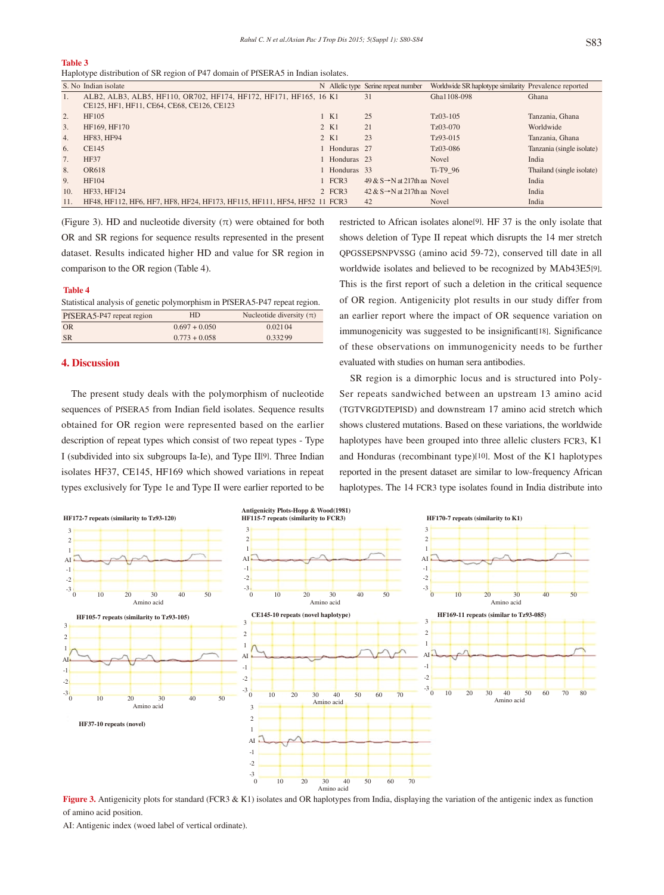**Table 3**

Haplotype distribution of SR region of P47 domain of PfSERA5 in Indian isolates.

|                | S. No Indian isolate                                                      |               | N Allelic type Serine repeat number       | Worldwide SR haplotype similarity Prevalence reported |                           |
|----------------|---------------------------------------------------------------------------|---------------|-------------------------------------------|-------------------------------------------------------|---------------------------|
| 1.             | ALB2, ALB3, ALB5, HF110, OR702, HF174, HF172, HF171, HF165, 16 K1         |               | 31                                        | Gha1108-098                                           | Ghana                     |
|                | CE125, HF1, HF11, CE64, CE68, CE126, CE123                                |               |                                           |                                                       |                           |
| 2.             | HF105                                                                     | 1 K1          | 25                                        | $Tz03-105$                                            | Tanzania, Ghana           |
| 3.             | HF169, HF170                                                              | 2 K1          | 21                                        | $Tz03-070$                                            | Worldwide                 |
| 4.             | HF83, HF94                                                                | 2 K1          | 23                                        | Tz93-015                                              | Tanzania, Ghana           |
| 6.             | CE145                                                                     | 1 Honduras 27 |                                           | Tz03-086                                              | Tanzania (single isolate) |
| 7 <sub>1</sub> | <b>HF37</b>                                                               | 1 Honduras 23 |                                           | <b>Novel</b>                                          | India                     |
| 8.             | OR618                                                                     | 1 Honduras 33 |                                           | Ti-T <sub>9</sub> 96                                  | Thailand (single isolate) |
| 9.             | HF104                                                                     | $1$ FCR3      | 49 & $S \rightarrow N$ at 217th aa Novel  |                                                       | India                     |
| 10.            | HF33, HF124                                                               | $2$ FCR3      | $42 \& S \rightarrow N$ at 217th aa Novel |                                                       | India                     |
| 11.            | HF48, HF112, HF6, HF7, HF8, HF24, HF173, HF115, HF111, HF54, HF52 11 FCR3 |               | 42                                        | Novel                                                 | India                     |

(Figure 3). HD and nucleotide diversity  $(\pi)$  were obtained for both OR and SR regions for sequence results represented in the present dataset. Results indicated higher HD and value for SR region in comparison to the OR region (Table 4).

#### **Table 4**

Statistical analysis of genetic polymorphism in PfSERA5-P47 repeat region.  $\frac{1}{\text{DFQED A5-PA7}}$  repeat region  $\frac{1}{\text{HD}}$  Nucleotide div

| $113$ LIV $-13$ $-177$ repeat region | $\overline{111}$ |         |  |  |
|--------------------------------------|------------------|---------|--|--|
| OR                                   | $0.697 + 0.050$  | 0.02104 |  |  |
| <b>SR</b>                            | $0.773 + 0.058$  | 0.33299 |  |  |
|                                      |                  |         |  |  |

# **4. Discussion**

 The present study deals with the polymorphism of nucleotide sequences of PfSERA5 from Indian field isolates. Sequence results obtained for OR region were represented based on the earlier description of repeat types which consist of two repeat types - Type I (subdivided into six subgroups Ia-Ie), and Type II[9]. Three Indian isolates HF37, CE145, HF169 which showed variations in repeat types exclusively for Type 1e and Type II were earlier reported to be restricted to African isolates alone[9]. HF 37 is the only isolate that shows deletion of Type II repeat which disrupts the 14 mer stretch QPGSSEPSNPVSSG (amino acid 59-72), conserved till date in all worldwide isolates and believed to be recognized by MAb43E5[9]. This is the first report of such a deletion in the critical sequence of OR region. Antigenicity plot results in our study differ from an earlier report where the impact of OR sequence variation on immunogenicity was suggested to be insignificant<sup>[18]</sup>. Significance of these observations on immunogenicity needs to be further evaluated with studies on human sera antibodies.

 SR region is a dimorphic locus and is structured into Poly-Ser repeats sandwiched between an upstream 13 amino acid (TGTVRGDTEPISD) and downstream 17 amino acid stretch which shows clustered mutations. Based on these variations, the worldwide haplotypes have been grouped into three allelic clusters FCR3, K1 and Honduras (recombinant type)[10]. Most of the K1 haplotypes reported in the present dataset are similar to low-frequency African haplotypes. The 14 FCR3 type isolates found in India distribute into



**Figure 3.** Antigenicity plots for standard (FCR3 & K1) isolates and OR haplotypes from India, displaying the variation of the antigenic index as function of amino acid position.

AI: Antigenic index (woed label of vertical ordinate).